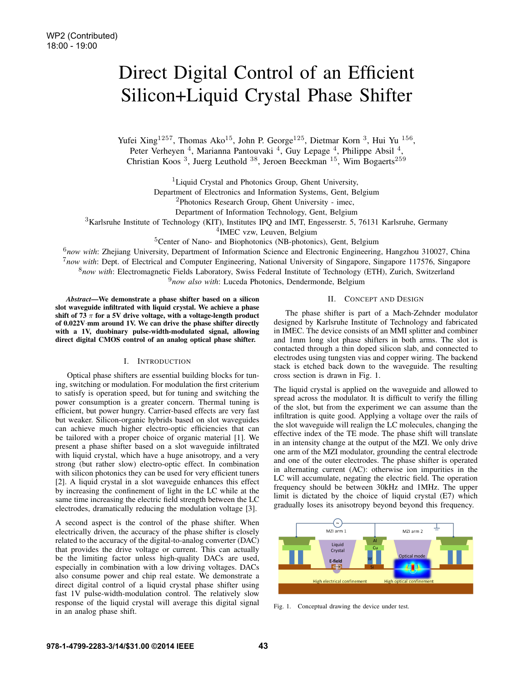# Direct Digital Control of an Efficient Silicon+Liquid Crystal Phase Shifter

Yufei Xing<sup>1257</sup>, Thomas Ako<sup>15</sup>, John P. George<sup>125</sup>, Dietmar Korn <sup>3</sup>, Hui Yu <sup>156</sup>, Peter Verheyen <sup>4</sup>, Marianna Pantouvaki <sup>4</sup>, Guy Lepage <sup>4</sup>, Philippe Absil <sup>4</sup>, Christian Koos<sup>3</sup>, Juerg Leuthold<sup>38</sup>, Jeroen Beeckman<sup>15</sup>, Wim Bogaerts<sup>259</sup>

<sup>1</sup>Liquid Crystal and Photonics Group, Ghent University,

Department of Electronics and Information Systems, Gent, Belgium

<sup>2</sup>Photonics Research Group, Ghent University - imec,

Department of Information Technology, Gent, Belgium

 $3$ Karlsruhe Institute of Technology (KIT), Institutes IPQ and IMT, Engesserstr. 5, 76131 Karlsruhe, Germany

<sup>4</sup>IMEC vzw, Leuven, Belgium

<sup>5</sup>Center of Nano- and Biophotonics (NB-photonics), Gent, Belgium

<sup>6</sup>*now with*: Zhejiang University, Department of Information Science and Electronic Engineering, Hangzhou 310027, China <sup>7</sup>*now with*: Dept. of Electrical and Computer Engineering, National University of Singapore, Singapore 117576, Singapore <sup>8</sup>*now with*: Electromagnetic Fields Laboratory, Swiss Federal Institute of Technology (ETH), Zurich, Switzerland

<sup>9</sup>*now also with*: Luceda Photonics, Dendermonde, Belgium

*Abstract*—We demonstrate a phase shifter based on a silicon slot waveguide infiltrated with liquid crystal. We achieve a phase shift of 73  $\pi$  for a 5V drive voltage, with a voltage-length product of 0.022V·mm around 1V. We can drive the phase shifter directly with a 1V, duobinary pulse-width-modulated signal, allowing direct digital CMOS control of an analog optical phase shifter.

## I. INTRODUCTION

Optical phase shifters are essential building blocks for tuning, switching or modulation. For modulation the first criterium to satisfy is operation speed, but for tuning and switching the power consumption is a greater concern. Thermal tuning is efficient, but power hungry. Carrier-based effects are very fast but weaker. Silicon-organic hybrids based on slot waveguides can achieve much higher electro-optic efficiencies that can be tailored with a proper choice of organic material [1]. We present a phase shifter based on a slot waveguide infiltrated with liquid crystal, which have a huge anisotropy, and a very strong (but rather slow) electro-optic effect. In combination with silicon photonics they can be used for very efficient tuners [2]. A liquid crystal in a slot waveguide enhances this effect by increasing the confinement of light in the LC while at the same time increasing the electric field strength between the LC electrodes, dramatically reducing the modulation voltage [3].

A second aspect is the control of the phase shifter. When electrically driven, the accuracy of the phase shifter is closely related to the accuracy of the digital-to-analog converter (DAC) that provides the drive voltage or current. This can actually be the limiting factor unless high-quality DACs are used, especially in combination with a low driving voltages. DACs also consume power and chip real estate. We demonstrate a direct digital control of a liquid crystal phase shifter using fast 1V pulse-width-modulation control. The relatively slow response of the liquid crystal will average this digital signal in an analog phase shift.

## II. CONCEPT AND DESIGN

The phase shifter is part of a Mach-Zehnder modulator designed by Karlsruhe Institute of Technology and fabricated in IMEC. The device consists of an MMI splitter and combiner and 1mm long slot phase shifters in both arms. The slot is contacted through a thin doped silicon slab, and connected to electrodes using tungsten vias and copper wiring. The backend stack is etched back down to the waveguide. The resulting cross section is drawn in Fig. 1.

The liquid crystal is applied on the waveguide and allowed to spread across the modulator. It is difficult to verify the filling of the slot, but from the experiment we can assume than the infiltration is quite good. Applying a voltage over the rails of the slot waveguide will realign the LC molecules, changing the effective index of the TE mode. The phase shift will translate in an intensity change at the output of the MZI. We only drive one arm of the MZI modulator, grounding the central electrode and one of the outer electrodes. The phase shifter is operated in alternating current (AC): otherwise ion impurities in the LC will accumulate, negating the electric field. The operation frequency should be between 30kHz and 1MHz. The upper limit is dictated by the choice of liquid crystal (E7) which gradually loses its anisotropy beyond beyond this frequency.



Fig. 1. Conceptual drawing the device under test.